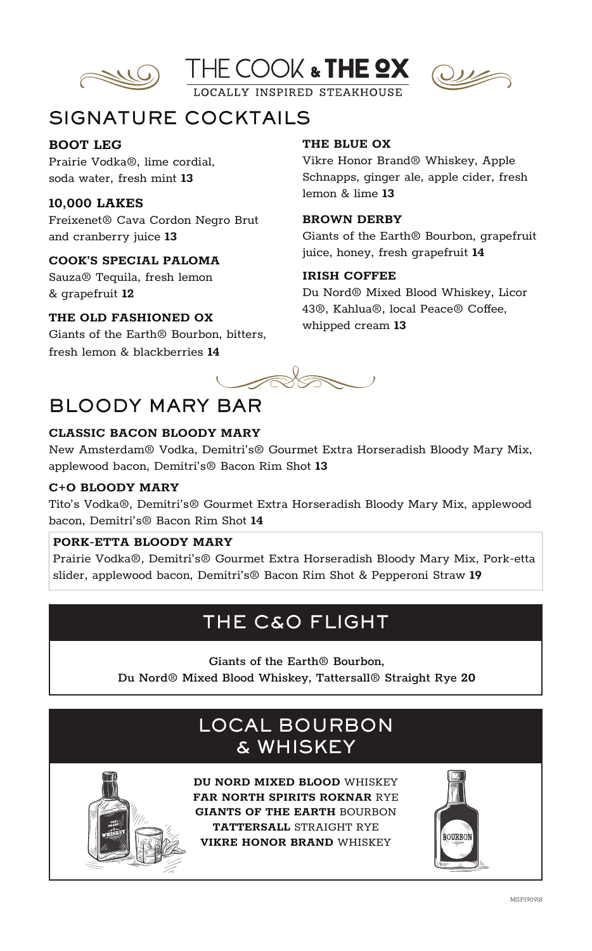





OCALLY INSPIRED STEAKHOUSE

# SIGNATURE COCKTAILS

## **BOOT LEG**

Prairie Vodka®, lime cordial, soda water, fresh mint **13**

# **10,000 LAKES**

Freixenet® Cava Cordon Negro Brut and cranberry juice **13**

## **COOK'S SPECIAL PALOMA**

Sauza® Tequila, fresh lemon & grapefruit **12**

# **THE OLD FASHIONED OX**

Giants of the Earth® Bourbon, bitters, fresh lemon & blackberries **14**

## **THE BLUE OX**

Vikre Honor Brand® Whiskey, Apple Schnapps, ginger ale, apple cider, fresh lemon & lime **13**

#### **BROWN DERBY**

Giants of the Earth® Bourbon, grapefruit juice, honey, fresh grapefruit **14**

#### **IRISH COFFEE**

Du Nord® Mixed Blood Whiskey, Licor 43®, Kahlua®, local Peace® Coffee, whipped cream **13**

 $\sim$ 

# BLOODY MARY BAR

## **CLASSIC BACON BLOODY MARY**

New Amsterdam® Vodka, Demitri's® Gourmet Extra Horseradish Bloody Mary Mix, applewood bacon, Demitri's® Bacon Rim Shot **13** 

#### **C+O BLOODY MARY**

Tito's Vodka®, Demitri's® Gourmet Extra Horseradish Bloody Mary Mix, applewood bacon, Demitri's® Bacon Rim Shot **14**

#### **PORK-ETTA BLOODY MARY**

 Prairie Vodka®, Demitri's® Gourmet Extra Horseradish Bloody Mary Mix, Pork-etta slider, applewood bacon, Demitri's® Bacon Rim Shot & Pepperoni Straw **19**

# THE C&O FLIGHT

Giants of the Earth® Bourbon,

Du Nord® Mixed Blood Whiskey, Tattersall® Straight Rye **20**

# LOCAL BOURBON & WHISKEY



**DU NORD MIXED BLOOD** WHISKEY **FAR NORTH SPIRITS ROKNAR** RYE **GIANTS OF THE EARTH** BOURBON **TATTERSALL** STRAIGHT RYE **VIKRE HONOR BRAND** WHISKEY